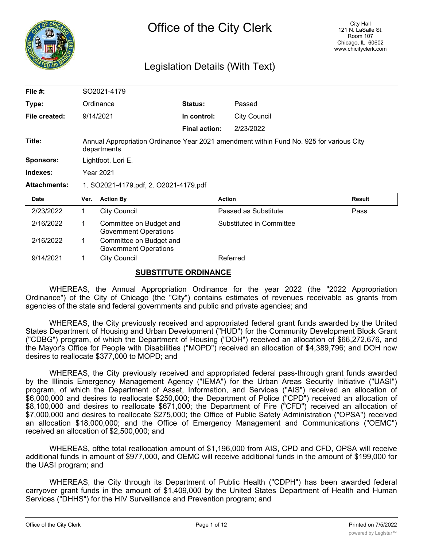

# Legislation Details (With Text)

| File $#$ :          | SO2021-4179                                                                                            |                                                         |                      |                          |               |  |  |
|---------------------|--------------------------------------------------------------------------------------------------------|---------------------------------------------------------|----------------------|--------------------------|---------------|--|--|
| Type:               |                                                                                                        | Ordinance                                               | <b>Status:</b>       | Passed                   |               |  |  |
| File created:       |                                                                                                        | 9/14/2021                                               | In control:          | <b>City Council</b>      |               |  |  |
|                     |                                                                                                        |                                                         | <b>Final action:</b> | 2/23/2022                |               |  |  |
| Title:              | Annual Appropriation Ordinance Year 2021 amendment within Fund No. 925 for various City<br>departments |                                                         |                      |                          |               |  |  |
| <b>Sponsors:</b>    | Lightfoot, Lori E.                                                                                     |                                                         |                      |                          |               |  |  |
| Indexes:            | <b>Year 2021</b>                                                                                       |                                                         |                      |                          |               |  |  |
| <b>Attachments:</b> | 1. SO2021-4179.pdf, 2. O2021-4179.pdf                                                                  |                                                         |                      |                          |               |  |  |
| Date                | Ver.                                                                                                   | <b>Action By</b>                                        |                      | <b>Action</b>            | <b>Result</b> |  |  |
| 2/23/2022           | 1.                                                                                                     | <b>City Council</b>                                     |                      | Passed as Substitute     | Pass          |  |  |
| 2/16/2022           | 1                                                                                                      | Committee on Budget and<br><b>Government Operations</b> |                      | Substituted in Committee |               |  |  |
| 2/16/2022           | 1.                                                                                                     | Committee on Budget and<br><b>Government Operations</b> |                      |                          |               |  |  |
| 9/14/2021           |                                                                                                        | <b>City Council</b>                                     |                      | Referred                 |               |  |  |

# **SUBSTITUTE ORDINANCE**

WHEREAS, the Annual Appropriation Ordinance for the year 2022 (the "2022 Appropriation Ordinance") of the City of Chicago (the "City") contains estimates of revenues receivable as grants from agencies of the state and federal governments and public and private agencies; and

WHEREAS, the City previously received and appropriated federal grant funds awarded by the United States Department of Housing and Urban Development ("HUD") for the Community Development Block Grant ("CDBG") program, of which the Department of Housing ("DOH") received an allocation of \$66,272,676, and the Mayor's Office for People with Disabilities ("MOPD") received an allocation of \$4,389,796; and DOH now desires to reallocate \$377,000 to MOPD; and

WHEREAS, the City previously received and appropriated federal pass-through grant funds awarded by the Illinois Emergency Management Agency ("IEMA") for the Urban Areas Security Initiative ("UASI") program, of which the Department of Asset, Information, and Services ("AIS") received an allocation of \$6,000,000 and desires to reallocate \$250,000; the Department of Police ("CPD") received an allocation of \$8,100,000 and desires to reallocate \$671,000; the Department of Fire ("CFD") received an allocation of \$7,000,000 and desires to reallocate \$275,000; the Office of Public Safety Administration ("OPSA") received an allocation \$18,000,000; and the Office of Emergency Management and Communications ("OEMC") received an allocation of \$2,500,000; and

WHEREAS, ofthe total reallocation amount of \$1,196,000 from AIS, CPD and CFD, OPSA will receive additional funds in amount of \$977,000, and OEMC will receive additional funds in the amount of \$199,000 for the UASI program; and

WHEREAS, the City through its Department of Public Health ("CDPH") has been awarded federal carryover grant funds in the amount of \$1,409,000 by the United States Department of Health and Human Services ("DHHS") for the HIV Surveillance and Prevention program; and

 $W_{\rm eff}$  through  $C$  through  $C$  and  $\sigma$   $\mu$  has been awarded for a mount of amount of amount of amount of amount of a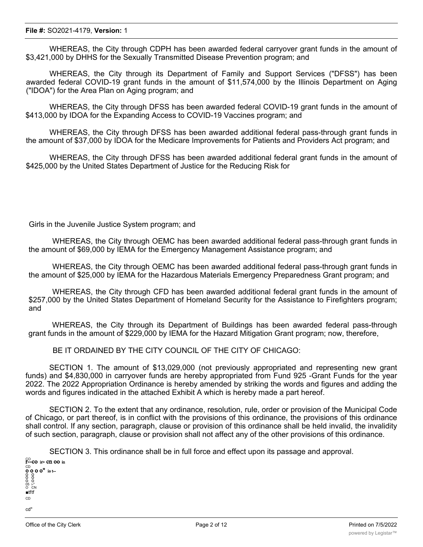WHEREAS, the City through CDPH has been awarded federal carryover grant funds in the amount of \$3,421,000 by DHHS for the Sexually Transmitted Disease Prevention program; and

WHEREAS, the City through its Department of Family and Support Services ("DFSS") has been awarded federal COVID-19 grant funds in the amount of \$11,574,000 by the Illinois Department on Aging ("IDOA") for the Area Plan on Aging program; and

WHEREAS, the City through DFSS has been awarded federal COVID-19 grant funds in the amount of \$413,000 by IDOA for the Expanding Access to COVID-19 Vaccines program; and

WHEREAS, the City through DFSS has been awarded additional federal pass-through grant funds in the amount of \$37,000 by IDOA for the Medicare Improvements for Patients and Providers Act program; and

WHEREAS, the City through DFSS has been awarded additional federal grant funds in the amount of \$425,000 by the United States Department of Justice for the Reducing Risk for

Girls in the Juvenile Justice System program; and

WHEREAS, the City through OEMC has been awarded additional federal pass-through grant funds in the amount of \$69,000 by IEMA for the Emergency Management Assistance program; and

WHEREAS, the City through OEMC has been awarded additional federal pass-through grant funds in the amount of \$25,000 by IEMA for the Hazardous Materials Emergency Preparedness Grant program; and

WHEREAS, the City through CFD has been awarded additional federal grant funds in the amount of \$257,000 by the United States Department of Homeland Security for the Assistance to Firefighters program; and

WHEREAS, the City through its Department of Buildings has been awarded federal pass-through grant funds in the amount of \$229,000 by IEMA for the Hazard Mitigation Grant program; now, therefore,

BE IT ORDAINED BY THE CITY COUNCIL OF THE CITY OF CHICAGO:

SECTION 1. The amount of \$13,029,000 (not previously appropriated and representing new grant funds) and \$4,830,000 in carryover funds are hereby appropriated from Fund 925 -Grant Funds for the year 2022. The 2022 Appropriation Ordinance is hereby amended by striking the words and figures and adding the words and figures indicated in the attached Exhibit A which is hereby made a part hereof.

SECTION 2. To the extent that any ordinance, resolution, rule, order or provision of the Municipal Code of Chicago, or part thereof, is in conflict with the provisions of this ordinance, the provisions of this ordinance shall control. If any section, paragraph, clause or provision of this ordinance shall be held invalid, the invalidity of such section, paragraph, clause or provision shall not affect any of the other provisions of this ordinance.

SECTION 3. This ordinance shall be in full force and effect upon its passage and approval.

# f<sup>⊙</sup>-co ir> cn oo in  $\begin{array}{c} 0 & 0 & 0 \\ 0 & 0 & 0 \\ 0 & 0 & 0 \\ 0 & 0 & 0 \\ 0 & 0 & 0 \\ 0 & 0 & 0 \end{array}$  io t-■tftf CD cd"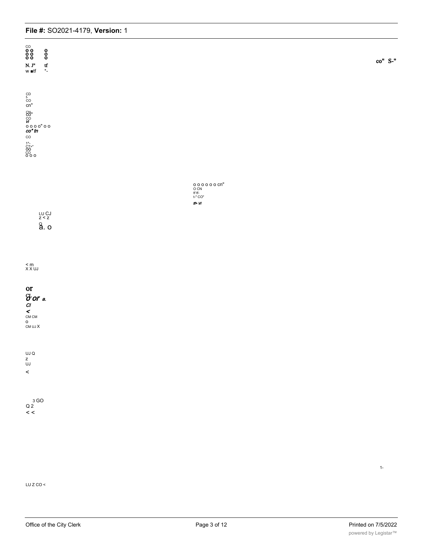

LU Z CO  $<$ 

 $1-$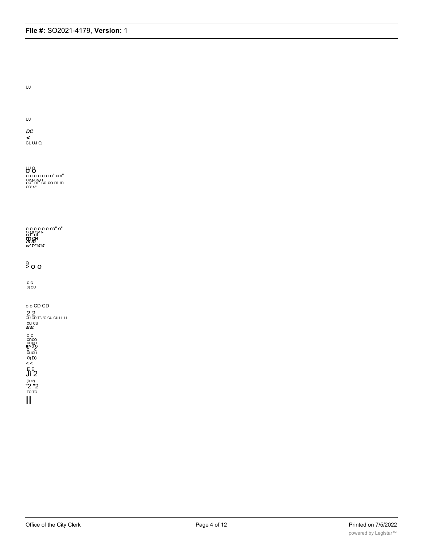UJ

UJ

DC < CL UJ Q

UJ Q o o o o o o o o o" cm" CM t-CN O oo" m" co co m m CO" t-"

o o o o o co" o"<br>CQ#CM t-<br>Cd" of<br>**IT) CN**<br>m IT-" И И

Q > o o

c c 0) CU

o o CD CD 2 2 CU CD T3 "O CU CU LL LL cu cu Sl SL o o<br>cnco cucu<br>e<3'o c<br>cucu<br>**O) D)**<br>< < ה<sup>⊑</sup><br>"2"2"<br>"2"2" II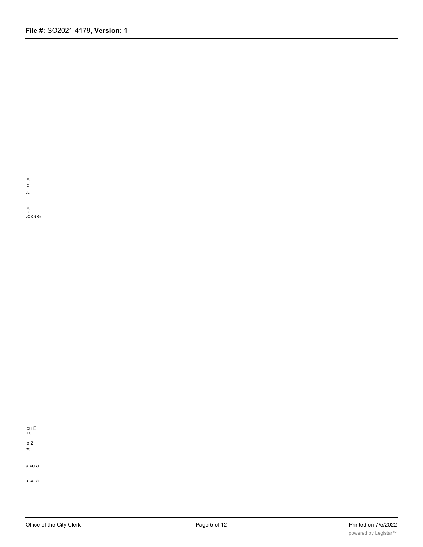10 c LL

cd

।<br>LO CN G)

cu E TO c 2 cd

a cu a

a cu a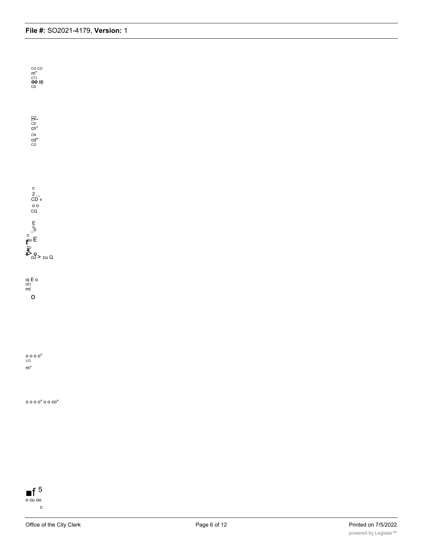

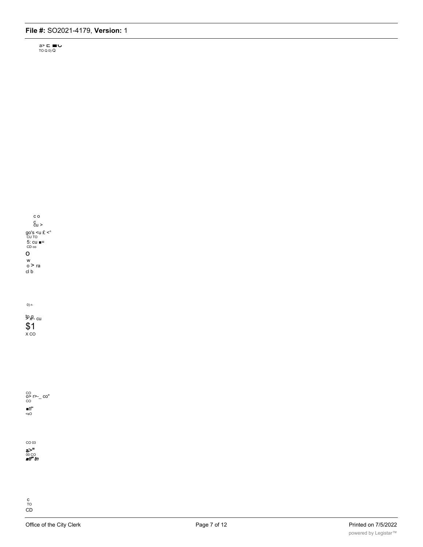

c o c cu > go's <u £ <°<br>
cu το<br>5: cu ■=<br>
cD co o w o > ra cl b

0) r-

to  $\mathfrak{g}_{\text{-}\mathrm{cu}}$ \$1  $x$  co

co<br>**o> r>-\_ co"**<br>co ■tf" <sO

CO 03 a>"<br>∞co<br>∎tf" tn

c TO CD o o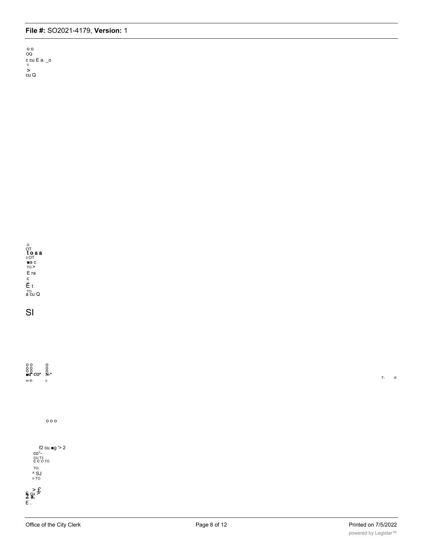o o OQ c cu E a. \_o<br>∨<br>Cu Q

©<br>OT<br>**to a a**<br>ma c<br>To > E ra c<br>Ě t TO<br>a cu Q

SI

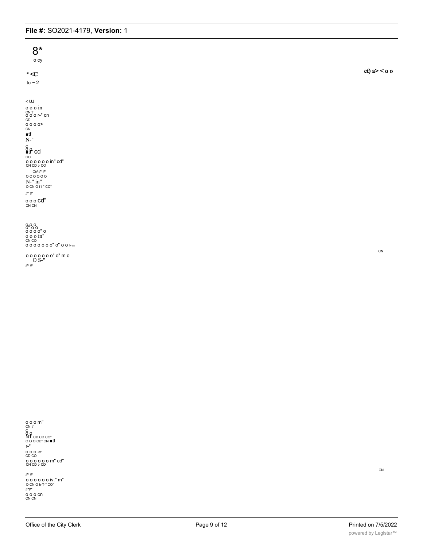| $8*$                                                                                                                                                                                                                              |  |                   |
|-----------------------------------------------------------------------------------------------------------------------------------------------------------------------------------------------------------------------------------|--|-------------------|
| o cy                                                                                                                                                                                                                              |  |                   |
| $\degree$ <c< th=""><th></th><th><math>ct</math>) a&gt; <math>&lt;</math> 0 0</th></c<>                                                                                                                                           |  | $ct$ ) a> $<$ 0 0 |
| to $\sim$ 2                                                                                                                                                                                                                       |  |                   |
|                                                                                                                                                                                                                                   |  |                   |
| $<$ UJ $\,$<br>o o o in                                                                                                                                                                                                           |  |                   |
| $_{0.0}^{\text{CN tf}}$ cn<br>CD<br>0000                                                                                                                                                                                          |  |                   |
| ${\sf CN}$<br>$\blacksquare$                                                                                                                                                                                                      |  |                   |
| $N-$ "<br>$\frac{8}{10}$ cd                                                                                                                                                                                                       |  |                   |
| $_{\rm CO}$<br>000000 in" cd"<br>CN CD t- CO                                                                                                                                                                                      |  |                   |
| CN $tt^*$ $tt^*$<br>000000<br>$N$ -" in"                                                                                                                                                                                          |  |                   |
| O CN O f-i-" CO"<br>$t f^\star\, t f^\star$                                                                                                                                                                                       |  |                   |
| o o o c d''<br>${\sf CN}$ ${\sf CN}$                                                                                                                                                                                              |  |                   |
|                                                                                                                                                                                                                                   |  |                   |
| 0,00<br>0"00<br>0000" 0                                                                                                                                                                                                           |  |                   |
| o o o in"<br>CN CO<br>$0000000"0"00t-m$                                                                                                                                                                                           |  |                   |
| $\begin{array}{c} {\mathbf 0} \, {\mathbf 0} \, {\mathbf 0} \, {\mathbf 0} \, {\mathbf 0} \, {\mathbf 0}^{\mathsf{u}} \, {\mathbf 0}^{\mathsf{u}} \, {\mathbf 0} \\ {\mathbf 0} \, {\mathbf S} \text{-}^{\mathsf{u}} \end{array}$ |  | CN                |
| $t f^\star\, t f^\star$                                                                                                                                                                                                           |  |                   |
|                                                                                                                                                                                                                                   |  |                   |
|                                                                                                                                                                                                                                   |  |                   |
|                                                                                                                                                                                                                                   |  |                   |

 $0.000$  m"<br>
CN tf<br>
CO<br>
CO CD CO"<br>
CO CO" CN **m**tf<br>
F-" -<br>
0 0 0 +t"<br>
CD CO<br>
0 0 0 0 0 0 m" cd"<br>
CN CD t- CD 0 0 0 CN<br>CN CN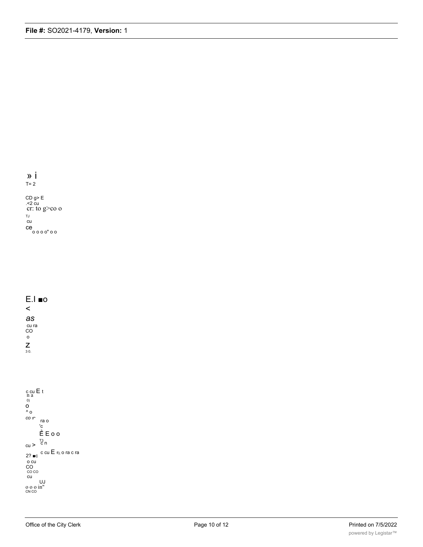| » i<br>$T = 2$                                                  |
|-----------------------------------------------------------------|
| CD <sub>g</sub> > E<br>.<2 cu<br>cr: to g $>$ co o<br>T.I<br>сu |
| cе<br>0000"00                                                   |
|                                                                 |

 $E.I$  **BO**  $\,<$ as cura<br>CO  $\mathtt{o}$  $\mathsf Z$  $30.$ 

 $\begin{array}{l} 1 \text{ c cu } \text{c tu} \\ \text{c cu} \\ \text{d v} \\ \text{d v} \\ \text{d v} \\ \text{d v} \\ \text{d v} \\ \text{d v} \\ \text{d v} \\ \text{d v} \end{array}$ <sup>ra o</sup><br>'с<br>ЁЕоо  $cu > \frac{13}{c}n$ 2? ■ c cu  $E$  fi), o ra c ra  $\frac{1}{2}$ <br>  $\frac{1}{2}$ <br>  $\frac{1}{2}$ <br>  $\frac{1}{2}$ <br>  $\frac{1}{2}$ <br>  $\frac{1}{2}$ <br>  $\frac{1}{2}$ <br>  $\frac{1}{2}$ <br>  $\frac{1}{2}$ <br>  $\frac{1}{2}$ <br>  $\frac{1}{2}$ <br>  $\frac{1}{2}$ <br>  $\frac{1}{2}$ <br>  $\frac{1}{2}$ <br>  $\frac{1}{2}$ <br>  $\frac{1}{2}$ <br>  $\frac{1}{2}$ <br>  $\frac{1}{2}$ <br>  $\frac{1}{2}$  $U$ <br>  $\begin{array}{c} U \downarrow \\ 0 & 0 & \text{in} \\ \text{CN CO} \end{array}$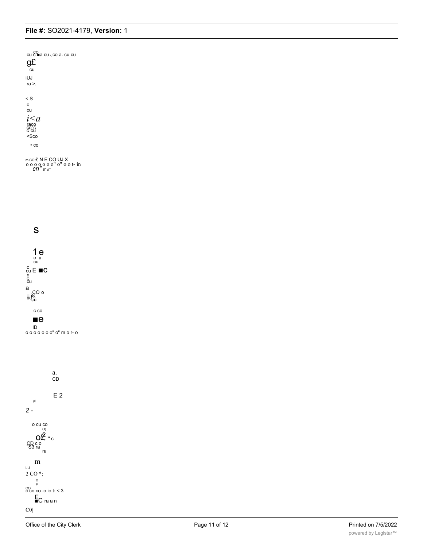